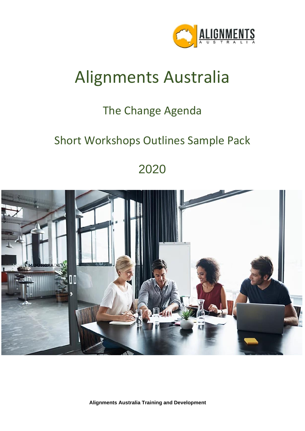

## Alignments Australia

## The Change Agenda

### Short Workshops Outlines Sample Pack

2020



**Alignments Australia Training and Development**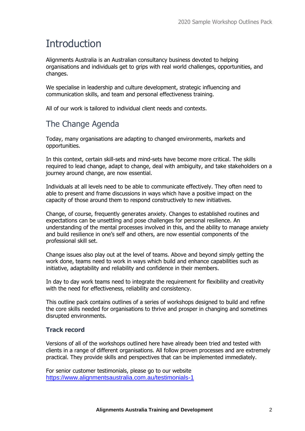### **Introduction**

Alignments Australia is an Australian consultancy business devoted to helping organisations and individuals get to grips with real world challenges, opportunities, and changes.

We specialise in leadership and culture development, strategic influencing and communication skills, and team and personal effectiveness training.

All of our work is tailored to individual client needs and contexts.

### The Change Agenda

Today, many organisations are adapting to changed environments, markets and opportunities.

In this context, certain skill-sets and mind-sets have become more critical. The skills required to lead change, adapt to change, deal with ambiguity, and take stakeholders on a journey around change, are now essential.

Individuals at all levels need to be able to communicate effectively. They often need to able to present and frame discussions in ways which have a positive impact on the capacity of those around them to respond constructively to new initiatives.

Change, of course, frequently generates anxiety. Changes to established routines and expectations can be unsettling and pose challenges for personal resilience. An understanding of the mental processes involved in this, and the ability to manage anxiety and build resilience in one's self and others, are now essential components of the professional skill set.

Change issues also play out at the level of teams. Above and beyond simply getting the work done, teams need to work in ways which build and enhance capabilities such as initiative, adaptability and reliability and confidence in their members.

In day to day work teams need to integrate the requirement for flexibility and creativity with the need for effectiveness, reliability and consistency.

This outline pack contains outlines of a series of workshops designed to build and refine the core skills needed for organisations to thrive and prosper in changing and sometimes disrupted environments.

#### **Track record**

Versions of all of the workshops outlined here have already been tried and tested with clients in a range of different organisations. All follow proven processes and are extremely practical. They provide skills and perspectives that can be implemented immediately.

For senior customer testimonials, please go to our website <https://www.alignmentsaustralia.com.au/testimonials-1>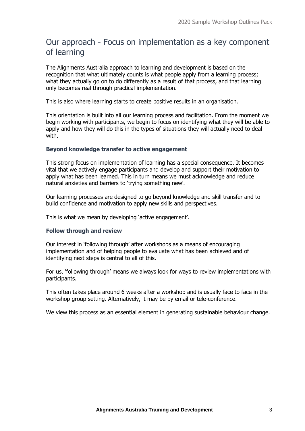### Our approach - Focus on implementation as a key component of learning

The Alignments Australia approach to learning and development is based on the recognition that what ultimately counts is what people apply from a learning process; what they actually go on to do differently as a result of that process, and that learning only becomes real through practical implementation.

This is also where learning starts to create positive results in an organisation.

This orientation is built into all our learning process and facilitation. From the moment we begin working with participants, we begin to focus on identifying what they will be able to apply and how they will do this in the types of situations they will actually need to deal with.

#### **Beyond knowledge transfer to active engagement**

This strong focus on implementation of learning has a special consequence. It becomes vital that we actively engage participants and develop and support their motivation to apply what has been learned. This in turn means we must acknowledge and reduce natural anxieties and barriers to 'trying something new'.

Our learning processes are designed to go beyond knowledge and skill transfer and to build confidence and motivation to apply new skills and perspectives.

This is what we mean by developing 'active engagement'.

#### **Follow through and review**

Our interest in 'following through' after workshops as a means of encouraging implementation and of helping people to evaluate what has been achieved and of identifying next steps is central to all of this.

For us, 'following through' means we always look for ways to review implementations with participants.

This often takes place around 6 weeks after a workshop and is usually face to face in the workshop group setting. Alternatively, it may be by email or tele-conference.

We view this process as an essential element in generating sustainable behaviour change.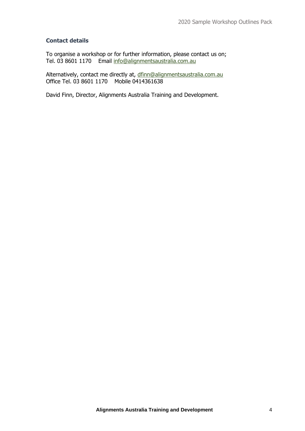#### **Contact details**

To organise a workshop or for further information, please contact us on; Tel. 03 8601 1170 Email [info@alignmentsaustralia.com.au](mailto:info@alignmentsaustralia.com.au)

Alternatively, contact me directly at, [dfinn@alignmentsaustralia.com.au](mailto:dfinn@alignmentsaustralia.com.au)  Office Tel. 03 8601 1170 Mobile 0414361638

David Finn, Director, Alignments Australia Training and Development.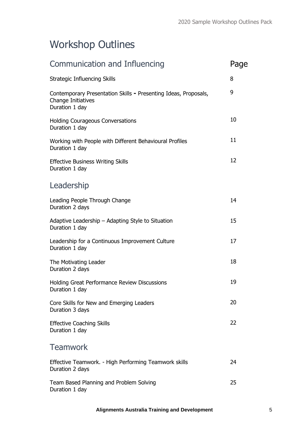### Workshop Outlines

| Communication and Influencing                                                                           | Page |
|---------------------------------------------------------------------------------------------------------|------|
| <b>Strategic Influencing Skills</b>                                                                     | 8    |
| Contemporary Presentation Skills - Presenting Ideas, Proposals,<br>Change Initiatives<br>Duration 1 day | 9    |
| <b>Holding Courageous Conversations</b><br>Duration 1 day                                               | 10   |
| Working with People with Different Behavioural Profiles<br>Duration 1 day                               | 11   |
| <b>Effective Business Writing Skills</b><br>Duration 1 day                                              | 12   |
| Leadership                                                                                              |      |
| Leading People Through Change<br>Duration 2 days                                                        | 14   |
| Adaptive Leadership - Adapting Style to Situation<br>Duration 1 day                                     | 15   |
| Leadership for a Continuous Improvement Culture<br>Duration 1 day                                       | 17   |
| The Motivating Leader<br>Duration 2 days                                                                | 18   |
| Holding Great Performance Review Discussions<br>Duration 1 day                                          | 19   |
| Core Skills for New and Emerging Leaders<br>Duration 3 days                                             | 20   |
| <b>Effective Coaching Skills</b><br>Duration 1 day                                                      | 22   |
| <b>Teamwork</b>                                                                                         |      |
| Effective Teamwork. - High Performing Teamwork skills<br>Duration 2 days                                | 24   |
| Team Based Planning and Problem Solving<br>Duration 1 day                                               | 25   |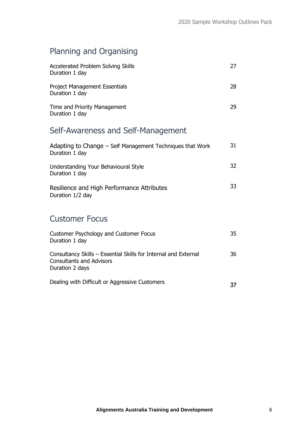### Planning and Organising

| Accelerated Problem Solving Skills<br>Duration 1 day                                                                  | 27 |
|-----------------------------------------------------------------------------------------------------------------------|----|
| <b>Project Management Essentials</b><br>Duration 1 day                                                                | 28 |
| Time and Priority Management<br>Duration 1 day                                                                        | 29 |
| Self-Awareness and Self-Management                                                                                    |    |
| Adapting to Change – Self Management Techniques that Work<br>Duration 1 day                                           | 31 |
| Understanding Your Behavioural Style<br>Duration 1 day                                                                | 32 |
| Resilience and High Performance Attributes<br>Duration 1/2 day                                                        | 33 |
| <b>Customer Focus</b>                                                                                                 |    |
| Customer Psychology and Customer Focus<br>Duration 1 day                                                              | 35 |
| Consultancy Skills - Essential Skills for Internal and External<br><b>Consultants and Advisors</b><br>Duration 2 days | 36 |
| Dealing with Difficult or Aggressive Customers                                                                        | 37 |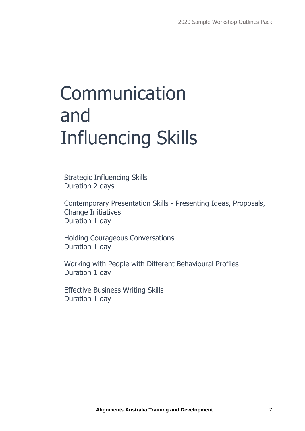# Communication and Influencing Skills

Strategic Influencing Skills Duration 2 days

Contemporary Presentation Skills **-** Presenting Ideas, Proposals, Change Initiatives Duration 1 day

Holding Courageous Conversations Duration 1 day

Working with People with Different Behavioural Profiles Duration 1 day

Effective Business Writing Skills Duration 1 day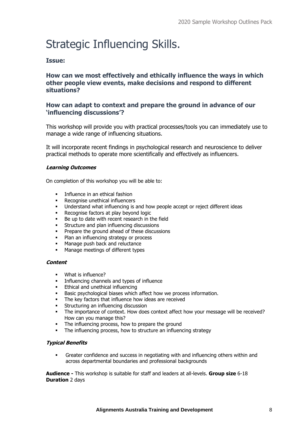### Strategic Influencing Skills.

#### **Issue:**

#### **How can we most effectively and ethically influence the ways in which other people view events, make decisions and respond to different situations?**

#### **How can adapt to context and prepare the ground in advance of our 'influencing discussions'?**

This workshop will provide you with practical processes/tools you can immediately use to manage a wide range of influencing situations.

It will incorporate recent findings in psychological research and neuroscience to deliver practical methods to operate more scientifically and effectively as influencers.

#### **Learning Outcomes**

On completion of this workshop you will be able to:

- Influence in an ethical fashion
- Recognise unethical influencers
- Understand what influencing is and how people accept or reject different ideas
- Recognise factors at play beyond logic
- Be up to date with recent research in the field
- **EXECUTE:** Structure and plan influencing discussions
- Prepare the ground ahead of these discussions
- Plan an influencing strategy or process
- Manage push back and reluctance
- Manage meetings of different types

#### **Content**

- What is influence?
- Influencing channels and types of influence
- Ethical and unethical influencing
- Basic psychological biases which affect how we process information.
- The key factors that influence how ideas are received
- Structuring an influencing discussion
- The importance of context. How does context affect how your message will be received? How can you manage this?
- The influencing process, how to prepare the ground
- The influencing process, how to structure an influencing strategy

#### **Typical Benefits**

Greater confidence and success in negotiating with and influencing others within and across departmental boundaries and professional backgrounds

**Audience -** This workshop is suitable for staff and leaders at all-levels. **Group size** 6-18 **Duration** 2 days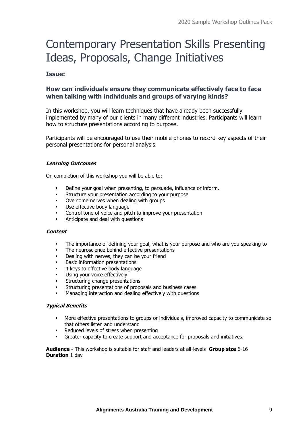### Contemporary Presentation Skills Presenting Ideas, Proposals, Change Initiatives

#### **Issue:**

#### **How can individuals ensure they communicate effectively face to face when talking with individuals and groups of varying kinds?**

In this workshop, you will learn techniques that have already been successfully implemented by many of our clients in many different industries. Participants will learn how to structure presentations according to purpose.

Participants will be encouraged to use their mobile phones to record key aspects of their personal presentations for personal analysis.

#### **Learning Outcomes**

On completion of this workshop you will be able to:

- Define your goal when presenting, to persuade, influence or inform.
- Structure your presentation according to your purpose
- Overcome nerves when dealing with groups
- Use effective body language
- Control tone of voice and pitch to improve your presentation
- Anticipate and deal with questions

#### **Content**

- The importance of defining your goal, what is your purpose and who are you speaking to
- The neuroscience behind effective presentations
- Dealing with nerves, they can be your friend
- **Basic information presentations**
- 4 keys to effective body language
- Using your voice effectively
- Structuring change presentations
- Structuring presentations of proposals and business cases
- Managing interaction and dealing effectively with questions

#### **Typical Benefits**

- More effective presentations to groups or individuals, improved capacity to communicate so that others listen and understand
- Reduced levels of stress when presenting
- Greater capacity to create support and acceptance for proposals and initiatives.

**Audience -** This workshop is suitable for staff and leaders at all-levels **Group size** 6-16 **Duration** 1 day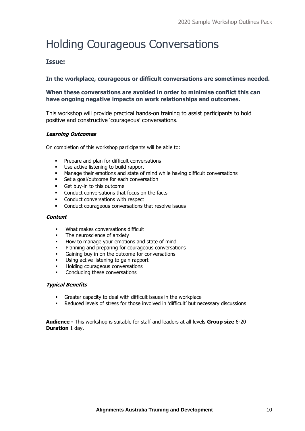## Holding Courageous Conversations

#### **Issue:**

#### **In the workplace, courageous or difficult conversations are sometimes needed.**

#### **When these conversations are avoided in order to minimise conflict this can have ongoing negative impacts on work relationships and outcomes.**

This workshop will provide practical hands-on training to assist participants to hold positive and constructive 'courageous' conversations.

#### **Learning Outcomes**

On completion of this workshop participants will be able to:

- Prepare and plan for difficult conversations
- Use active listening to build rapport
- **■** Manage their emotions and state of mind while having difficult conversations
- Set a goal/outcome for each conversation
- Get buy-in to this outcome
- Conduct conversations that focus on the facts
- **•** Conduct conversations with respect
- Conduct courageous conversations that resolve issues

#### **Content**

- What makes conversations difficult
- The neuroscience of anxiety
- How to manage your emotions and state of mind
- Planning and preparing for courageous conversations
- Gaining buy in on the outcome for conversations
- Using active listening to gain rapport
- Holding courageous conversations
- Concluding these conversations

#### **Typical Benefits**

- Greater capacity to deal with difficult issues in the workplace
- Reduced levels of stress for those involved in 'difficult' but necessary discussions

**Audience -** This workshop is suitable for staff and leaders at all levels **Group size** 6-20 **Duration** 1 day.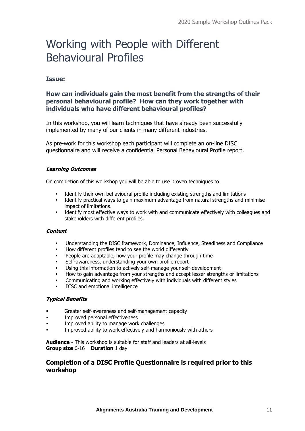### Working with People with Different Behavioural Profiles

#### **Issue:**

#### **How can individuals gain the most benefit from the strengths of their personal behavioural profile? How can they work together with individuals who have different behavioural profiles?**

In this workshop, you will learn techniques that have already been successfully implemented by many of our clients in many different industries.

As pre-work for this workshop each participant will complete an on-line DISC questionnaire and will receive a confidential Personal Behavioural Profile report.

#### **Learning Outcomes**

On completion of this workshop you will be able to use proven techniques to:

- Identify their own behavioural profile including existing strengths and limitations
- Identify practical ways to gain maximum advantage from natural strengths and minimise impact of limitations.
- **•** Identify most effective ways to work with and communicate effectively with colleagues and stakeholders with different profiles.

#### **Content**

- Understanding the DISC framework, Dominance, Influence, Steadiness and Compliance
- How different profiles tend to see the world differently
- People are adaptable, how your profile may change through time
- Self-awareness, understanding your own profile report
- Using this information to actively self-manage your self-development
- How to gain advantage from your strengths and accept lesser strengths or limitations
- Communicating and working effectively with individuals with different styles
- DISC and emotional intelligence

#### **Typical Benefits**

- **•** Greater self-awareness and self-management capacity
- Improved personal effectiveness
- Improved ability to manage work challenges
- Improved ability to work effectively and harmoniously with others

**Audience -** This workshop is suitable for staff and leaders at all-levels **Group size** 6-16 **Duration** 1 day

#### **Completion of a DISC Profile Questionnaire is required prior to this workshop**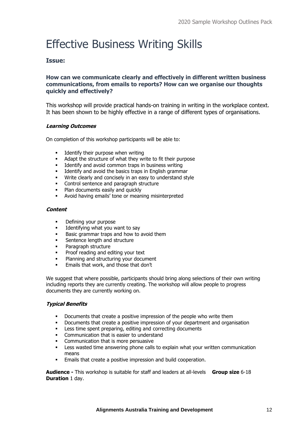### Effective Business Writing Skills

#### **Issue:**

#### **How can we communicate clearly and effectively in different written business communications, from emails to reports? How can we organise our thoughts quickly and effectively?**

This workshop will provide practical hands-on training in writing in the workplace context. It has been shown to be highly effective in a range of different types of organisations.

#### **Learning Outcomes**

On completion of this workshop participants will be able to:

- Identify their purpose when writing
- Adapt the structure of what they write to fit their purpose
- Identify and avoid common traps in business writing
- Identify and avoid the basics traps in English grammar
- Write clearly and concisely in an easy to understand style
- Control sentence and paragraph structure
- Plan documents easily and quickly
- Avoid having emails' tone or meaning misinterpreted

#### **Content**

- Defining your purpose
- **EXECUTE:** Identifying what you want to say
- Basic grammar traps and how to avoid them
- Sentence length and structure
- Paragraph structure
- Proof reading and editing your text
- Planning and structuring your document
- **Emails that work, and those that don't**

We suggest that where possible, participants should bring along selections of their own writing including reports they are currently creating. The workshop will allow people to progress documents they are currently working on.

#### **Typical Benefits**

- Documents that create a positive impression of the people who write them
- Documents that create a positive impression of your department and organisation
- Less time spent preparing, editing and correcting documents
- Communication that is easier to understand
- Communication that is more persuasive
- **EXECT** Less wasted time answering phone calls to explain what your written communication means
- Emails that create a positive impression and build cooperation.

**Audience -** This workshop is suitable for staff and leaders at all-levels **Group size** 6-18 **Duration** 1 day.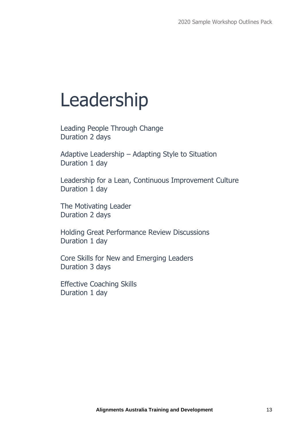## Leadership

Leading People Through Change Duration 2 days

Adaptive Leadership – Adapting Style to Situation Duration 1 day

Leadership for a Lean, Continuous Improvement Culture Duration 1 day

The Motivating Leader Duration 2 days

Holding Great Performance Review Discussions Duration 1 day

Core Skills for New and Emerging Leaders Duration 3 days

Effective Coaching Skills Duration 1 day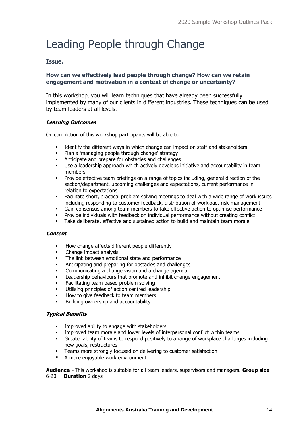### Leading People through Change

#### **Issue.**

#### **How can we effectively lead people through change? How can we retain engagement and motivation in a context of change or uncertainty?**

In this workshop, you will learn techniques that have already been successfully implemented by many of our clients in different industries. These techniques can be used by team leaders at all levels.

#### **Learning Outcomes**

On completion of this workshop participants will be able to:

- Identify the different ways in which change can impact on staff and stakeholders
- Plan a 'managing people through change' strategy
- Anticipate and prepare for obstacles and challenges
- Use a leadership approach which actively develops initiative and accountability in team members
- Provide effective team briefings on a range of topics including, general direction of the section/department, upcoming challenges and expectations, current performance in relation to expectations
- **•** Facilitate short, practical problem solving meetings to deal with a wide range of work issues including responding to customer feedback, distribution of workload, risk-management
- Gain consensus among team members to take effective action to optimise performance
- Provide individuals with feedback on individual performance without creating conflict
- Take deliberate, effective and sustained action to build and maintain team morale.

#### **Content**

- How change affects different people differently
- Change impact analysis
- The link between emotional state and performance
- Anticipating and preparing for obstacles and challenges
- Communicating a change vision and a change agenda
- Leadership behaviours that promote and inhibit change engagement
- Facilitating team based problem solving
- Utilising principles of action centred leadership
- How to give feedback to team members
- Building ownership and accountability

#### **Typical Benefits**

- Improved ability to engage with stakeholders
- Improved team morale and lower levels of interpersonal conflict within teams
- Greater ability of teams to respond positively to a range of workplace challenges including new goals, restructures
- **•** Teams more strongly focused on delivering to customer satisfaction
- A more enjovable work environment.

**Audience -** This workshop is suitable for all team leaders, supervisors and managers. **Group size** 6-20 **Duration** 2 days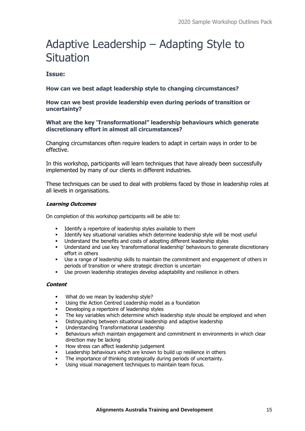### Adaptive Leadership – Adapting Style to Situation

#### **Issue:**

#### **How can we best adapt leadership style to changing circumstances?**

#### **How can we best provide leadership even during periods of transition or uncertainty?**

#### **What are the key 'Transformational" leadership behaviours which generate discretionary effort in almost all circumstances?**

Changing circumstances often require leaders to adapt in certain ways in order to be effective.

In this workshop, participants will learn techniques that have already been successfully implemented by many of our clients in different industries.

These techniques can be used to deal with problems faced by those in leadership roles at all levels in organisations.

#### **Learning Outcomes**

On completion of this workshop participants will be able to:

- Identify a repertoire of leadership styles available to them
- Identify key situational variables which determine leadership style will be most useful
- **■** Understand the benefits and costs of adopting different leadership styles
- Understand and use key 'transformational leadership' behaviours to generate discretionary effort in others
- Use a range of leadership skills to maintain the commitment and engagement of others in periods of transition or where strategic direction is uncertain
- Use proven leadership strategies develop adaptability and resilience in others

#### **Content**

- What do we mean by leadership style?
- Using the Action Centred Leadership model as a foundation
- Developing a repertoire of leadership styles
- The key variables which determine which leadership style should be employed and when
- Distinguishing between situational leadership and adaptive leadership
- Understanding Transformational Leadership
- Behaviours which maintain engagement and commitment in environments in which clear direction may be lacking
- How stress can affect leadership judgement
- Leadership behaviours which are known to build up resilience in others
- The importance of thinking strategically during periods of uncertainty.
- Using visual management techniques to maintain team focus.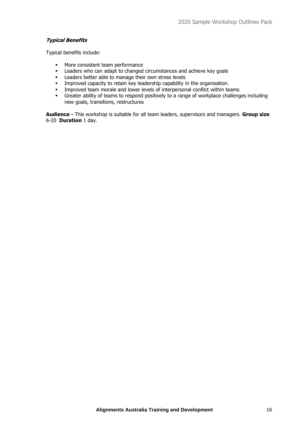#### **Typical Benefits**

Typical benefits include:

- More consistent team performance
- **EXECTED EXECTED EXECTED FOR A LEADER FIGURER** Leaders who can adapt to changed circumstances and achieve key goals
- Leaders better able to manage their own stress levels<br>■ Improved capacity to retain key leadership capability i
- Improved capacity to retain key leadership capability in the organisation.<br>■ Improved team morale and lower levels of interpersonal conflict within te
- **•** Improved team morale and lower levels of interpersonal conflict within teams<br>• Greater ability of teams to respond positively to a range of workplace challenge
- Greater ability of teams to respond positively to a range of workplace challenges including new goals, transitions, restructures

**Audience -** This workshop is suitable for all team leaders, supervisors and managers. **Group size**  6-20 **Duration** 1 day.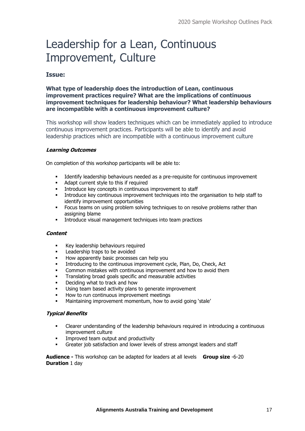### Leadership for a Lean, Continuous Improvement, Culture

#### **Issue:**

#### **What type of leadership does the introduction of Lean, continuous improvement practices require? What are the implications of continuous improvement techniques for leadership behaviour? What leadership behaviours are incompatible with a continuous improvement culture?**

This workshop will show leaders techniques which can be immediately applied to introduce continuous improvement practices. Participants will be able to identify and avoid leadership practices which are incompatible with a continuous improvement culture

#### **Learning Outcomes**

On completion of this workshop participants will be able to:

- Identify leadership behaviours needed as a pre-requisite for continuous improvement
- Adapt current style to this if required
- Introduce key concepts in continuous improvement to staff<br>■ Introduce key continuous improvement techniques into the
- Introduce key continuous improvement techniques into the organisation to help staff to identify improvement opportunities
- **•** Focus teams on using problem solving techniques to on resolve problems rather than assigning blame
- **•** Introduce visual management techniques into team practices

#### **Content**

- Key leadership behaviours required
- Leadership traps to be avoided
- How apparently basic processes can help you
- Introducing to the continuous improvement cycle, Plan, Do, Check, Act
- Common mistakes with continuous improvement and how to avoid them
- Translating broad goals specific and measurable activities
- Deciding what to track and how
- Using team based activity plans to generate improvement
- How to run continuous improvement meetings
- Maintaining improvement momentum, how to avoid going 'stale'

#### **Typical Benefits**

- Clearer understanding of the leadership behaviours required in introducing a continuous improvement culture
- Improved team output and productivity
- Greater job satisfaction and lower levels of stress amongst leaders and staff

**Audience -** This workshop can be adapted for leaders at all levels **Group size** -6-20 **Duration** 1 day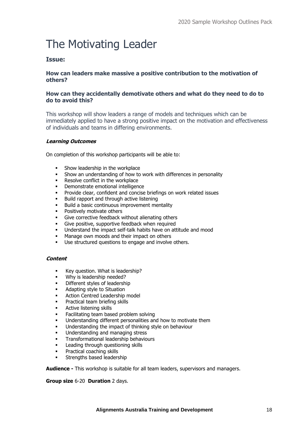## The Motivating Leader

#### **Issue:**

#### **How can leaders make massive a positive contribution to the motivation of others?**

#### **How can they accidentally demotivate others and what do they need to do to do to avoid this?**

This workshop will show leaders a range of models and techniques which can be immediately applied to have a strong positive impact on the motivation and effectiveness of individuals and teams in differing environments.

#### **Learning Outcomes**

On completion of this workshop participants will be able to:

- Show leadership in the workplace
- Show an understanding of how to work with differences in personality
- Resolve conflict in the workplace
- Demonstrate emotional intelligence
- Provide clear, confident and concise briefings on work related issues
- Build rapport and through active listening
- Build a basic continuous improvement mentality
- Positively motivate others
- Give corrective feedback without alienating others
- Give positive, supportive feedback when required
- Understand the impact self-talk habits have on attitude and mood
- Manage own moods and their impact on others
- Use structured questions to engage and involve others.

#### **Content**

- Key question. What is leadership?
- Why is leadership needed?
- Different styles of leadership
- Adapting style to Situation
- Action Centred Leadership model
- Practical team briefing skills
- Active listening skills
- Facilitating team based problem solving
- Understanding different personalities and how to motivate them
- Understanding the impact of thinking style on behaviour
- Understanding and managing stress
- Transformational leadership behaviours
- Leading through questioning skills
- Practical coaching skills
- **•** Strengths based leadership

**Audience -** This workshop is suitable for all team leaders, supervisors and managers.

#### **Group size** 6-20 **Duration** 2 days.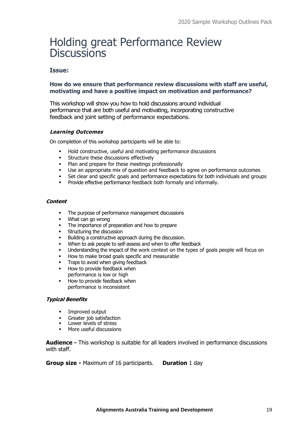### Holding great Performance Review **Discussions**

#### **Issue:**

#### **How do we ensure that performance review discussions with staff are useful, motivating and have a positive impact on motivation and performance?**

This workshop will show you how to hold discussions around individual performance that are both useful and motivating, incorporating constructive feedback and joint setting of performance expectations.

#### **Learning Outcomes**

On completion of this workshop participants will be able to:

- Hold constructive, useful and motivating performance discussions
- **EXECUTE:** Structure these discussions effectively
- Plan and prepare for these meetings professionally
- Use an appropriate mix of question and feedback to agree on performance outcomes
- **•** Set clear and specific goals and performance expectations for both individuals and groups
- Provide effective performance feedback both formally and informally.

#### **Content**

- The purpose of performance management discussions
- What can go wrong
- The importance of preparation and how to prepare
- Structuring the discussion
- Building a constructive approach during the discussion.
- When to ask people to self-assess and when to offer feedback
- Understanding the impact of the work context on the types of goals people will focus on
- How to make broad goals specific and measurable
- **•** Traps to avoid when giving feedback
- How to provide feedback when performance is low or high
- How to provide feedback when performance is inconsistent

#### **Typical Benefits**

- Improved output
- Greater job satisfaction
- Lower levels of stress
- More useful discussions

**Audience -** This workshop is suitable for all leaders involved in performance discussions with staff.

**Group size -** Maximum of 16 participants. **Duration** 1 day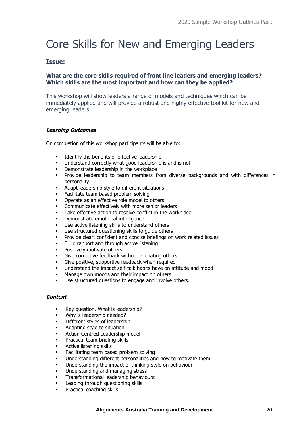### Core Skills for New and Emerging Leaders

#### **Issue:**

#### **What are the core skills required of front line leaders and emerging leaders? Which skills are the most important and how can they be applied?**

This workshop will show leaders a range of models and techniques which can be immediately applied and will provide a robust and highly effective tool kit for new and emerging leaders

#### **Learning Outcomes**

On completion of this workshop participants will be able to:

- Identify the benefits of effective leadership
- Understand correctly what good leadership is and is not
- Demonstrate leadership in the workplace
- Provide leadership to team members from diverse backgrounds and with differences in personality
- Adapt leadership style to different situations
- Facilitate team based problem solving
- Operate as an effective role model to others
- Communicate effectively with more senior leaders
- Take effective action to resolve conflict in the workplace
- Demonstrate emotional intelligence
- Use active listening skills to understand others
- Use structured questioning skills to quide others
- Provide clear, confident and concise briefings on work related issues
- Build rapport and through active listening
- Positively motivate others
- Give corrective feedback without alienating others
- Give positive, supportive feedback when required
- Understand the impact self-talk habits have on attitude and mood
- Manage own moods and their impact on others
- Use structured questions to engage and involve others.

#### **Content**

- Key question. What is leadership?
- Why is leadership needed?
- Different styles of leadership
- Adapting style to situation
- Action Centred Leadership model
- Practical team briefing skills
- Active listening skills
- Facilitating team based problem solving
- Understanding different personalities and how to motivate them
- Understanding the impact of thinking style on behaviour
- Understanding and managing stress
- Transformational leadership behaviours
- Leading through questioning skills
- Practical coaching skills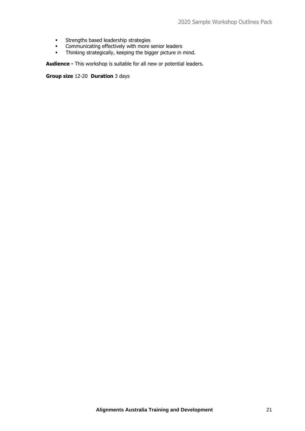- **•** Strengths based leadership strategies
- **•** Communicating effectively with more senior leaders
- Thinking strategically, keeping the bigger picture in mind.

**Audience -** This workshop is suitable for all new or potential leaders.

**Group size** 12-20 **Duration** 3 days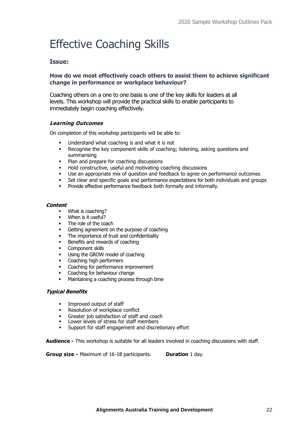## Effective Coaching Skills

#### **Issue:**

#### **How do we most effectively coach others to assist them to achieve significant change in performance or workplace behaviour?**

Coaching others on a one to one basis is one of the key skills for leaders at all levels. This workshop will provide the practical skills to enable participants to immediately begin coaching effectively.

#### **Learning Outcomes**

On completion of this workshop participants will be able to:

- **■** Understand what coaching is and what it is not
- Recognise the key component skills of coaching; listening, asking questions and summarising
- Plan and prepare for coaching discussions
- Hold constructive, useful and motivating coaching discussions
- Use an appropriate mix of question and feedback to agree on performance outcomes
- **•** Set clear and specific goals and performance expectations for both individuals and groups
- **•** Provide effective performance feedback both formally and informally.

#### **Content**

- What is coaching?
- When is it useful?
- The role of the coach
- Getting agreement on the purpose of coaching
- The importance of trust and confidentiality
- Benefits and rewards of coaching
- Component skills
- Using the GROW model of coaching
- Coaching high performers
- Coaching for performance improvement
- Coaching for behaviour change
- Maintaining a coaching process through time

#### **Typical Benefits**

- Improved output of staff
- 
- **•** Resolution of workplace conflict<br>• Greater iob satisfaction of staff and coach ▪ Greater job satisfaction of staff and coach
- Lower levels of stress for staff members
- Support for staff engagement and discretionary effort

**Audience -** This workshop is suitable for all leaders involved in coaching discussions with staff.

**Group size -** Maximum of 16-18 participants. **Duration** 1 day.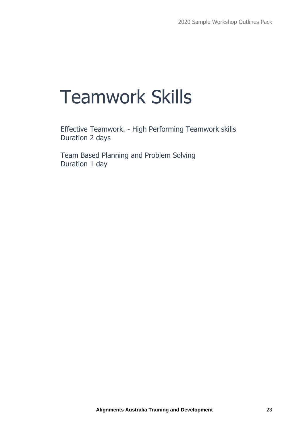## Teamwork Skills

Effective Teamwork. - High Performing Teamwork skills Duration 2 days

Team Based Planning and Problem Solving Duration 1 day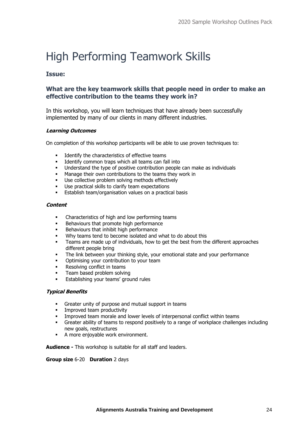### High Performing Teamwork Skills

#### **Issue:**

#### **What are the key teamwork skills that people need in order to make an effective contribution to the teams they work in?**

In this workshop, you will learn techniques that have already been successfully implemented by many of our clients in many different industries.

#### **Learning Outcomes**

On completion of this workshop participants will be able to use proven techniques to:

- **•** Identify the characteristics of effective teams<br>• Identify common trans which all teams can fa
- Identify common traps which all teams can fall into
- Understand the type of positive contribution people can make as individuals
- Manage their own contributions to the teams they work in
- Use collective problem solving methods effectively
- Use practical skills to clarify team expectations
- **Establish team/organisation values on a practical basis**

#### **Content**

- Characteristics of high and low performing teams
- Behaviours that promote high performance
- Behaviours that inhibit high performance
- Why teams tend to become isolated and what to do about this
- **•** Teams are made up of individuals, how to get the best from the different approaches different people bring
- The link between your thinking style, your emotional state and your performance
- Optimising your contribution to your team
- Resolving conflict in teams
- Team based problem solving
- **Establishing your teams' ground rules**

#### **Typical Benefits**

- Greater unity of purpose and mutual support in teams
- Improved team productivity
- Improved team morale and lower levels of interpersonal conflict within teams
- Greater ability of teams to respond positively to a range of workplace challenges including new goals, restructures
- A more enjoyable work environment.

**Audience -** This workshop is suitable for all staff and leaders.

#### **Group size** 6-20 **Duration** 2 days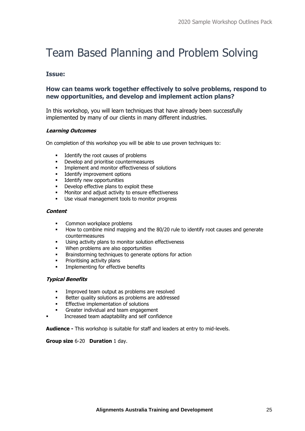### Team Based Planning and Problem Solving

#### **Issue:**

#### **How can teams work together effectively to solve problems, respond to new opportunities, and develop and implement action plans?**

In this workshop, you will learn techniques that have already been successfully implemented by many of our clients in many different industries.

#### **Learning Outcomes**

On completion of this workshop you will be able to use proven techniques to:

- Identify the root causes of problems
- **•** Develop and prioritise countermeasures<br>• Implement and monitor effectiveness of
- Implement and monitor effectiveness of solutions
- Identify improvement options
- Identify new opportunities
- Develop effective plans to exploit these
- Monitor and adjust activity to ensure effectiveness
- Use visual management tools to monitor progress

#### **Content**

- Common workplace problems
- How to combine mind mapping and the 80/20 rule to identify root causes and generate countermeasures
- Using activity plans to monitor solution effectiveness
- When problems are also opportunities
- Brainstorming techniques to generate options for action
- Prioritising activity plans
- Implementing for effective benefits

#### **Typical Benefits**

- **•** Improved team output as problems are resolved
- Better quality solutions as problems are addressed
- Effective implementation of solutions
- Greater individual and team engagement
- Increased team adaptability and self confidence

**Audience -** This workshop is suitable for staff and leaders at entry to mid-levels.

#### **Group size** 6-20 **Duration** 1 day.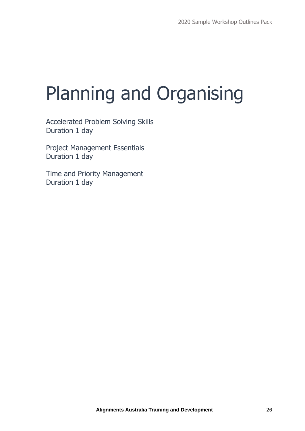# Planning and Organising

Accelerated Problem Solving Skills Duration 1 day

Project Management Essentials Duration 1 day

Time and Priority Management Duration 1 day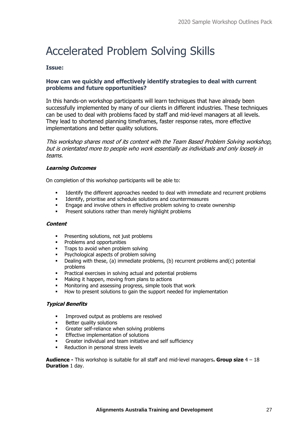### Accelerated Problem Solving Skills

#### **Issue:**

#### **How can we quickly and effectively identify strategies to deal with current problems and future opportunities?**

In this hands-on workshop participants will learn techniques that have already been successfully implemented by many of our clients in different industries. These techniques can be used to deal with problems faced by staff and mid-level managers at all levels. They lead to shortened planning timeframes, faster response rates, more effective implementations and better quality solutions.

This workshop shares most of its content with the Team Based Problem Solving workshop, but is orientated more to people who work essentially as individuals and only loosely in teams.

#### **Learning Outcomes**

On completion of this workshop participants will be able to:

- Identify the different approaches needed to deal with immediate and recurrent problems
- Identify, prioritise and schedule solutions and countermeasures
- Engage and involve others in effective problem solving to create ownership
- Present solutions rather than merely highlight problems

#### **Content**

- Presenting solutions, not just problems
- Problems and opportunities
- Traps to avoid when problem solving
- Psychological aspects of problem solving
- Dealing with these, (a) immediate problems, (b) recurrent problems and(c) potential problems
- Practical exercises in solving actual and potential problems
- Making it happen, moving from plans to actions
- Monitoring and assessing progress, simple tools that work
- How to present solutions to gain the support needed for implementation

#### **Typical Benefits**

- Improved output as problems are resolved
- **■** Better quality solutions
- Greater self-reliance when solving problems
- Effective implementation of solutions
- Greater individual and team initiative and self sufficiency
- Reduction in personal stress levels

**Audience -** This workshop is suitable for all staff and mid-level managers**. Group size** 4 – 18 **Duration** 1 day.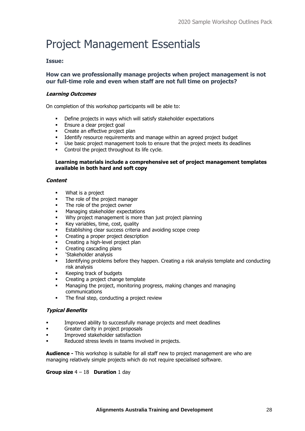### Project Management Essentials

#### **Issue:**

#### **How can we professionally manage projects when project management is not our full-time role and even when staff are not full time on projects?**

#### **Learning Outcomes**

On completion of this workshop participants will be able to:

- **•** Define projects in ways which will satisfy stakeholder expectations
- **Ensure a clear project goal**
- **•** Create an effective project plan
- Identify resource requirements and manage within an agreed project budget<br>■ I lse basic project management tools to ensure that the project meets its dead
- Use basic project management tools to ensure that the project meets its deadlines
- Control the project throughout its life cycle.

#### **Learning materials include a comprehensive set of project management templates available in both hard and soft copy**

#### **Content**

- What is a project
- The role of the project manager
- The role of the project owner
- Managing stakeholder expectations
- Why project management is more than just project planning
- Key variables, time, cost, quality
- Establishing clear success criteria and avoiding scope creep
- Creating a proper project description
- Creating a high-level project plan
- Creating cascading plans
- 'Stakeholder analysis
- Identifying problems before they happen. Creating a risk analysis template and conducting risk analysis
- Keeping track of budgets
- Creating a project change template
- Managing the project, monitoring progress, making changes and managing communications
- The final step, conducting a project review

#### **Typical Benefits**

- **•** Improved ability to successfully manage projects and meet deadlines
- Greater clarity in project proposals
- Improved stakeholder satisfaction
- Reduced stress levels in teams involved in projects.

**Audience -** This workshop is suitable for all staff new to project management are who are managing relatively simple projects which do not require specialised software.

#### **Group size** 4 – 18 **Duration** 1 day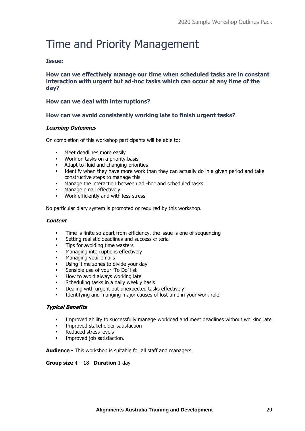### Time and Priority Management

#### **Issue:**

**How can we effectively manage our time when scheduled tasks are in constant interaction with urgent but ad-hoc tasks which can occur at any time of the day?**

#### **How can we deal with interruptions?**

#### **How can we avoid consistently working late to finish urgent tasks?**

#### **Learning Outcomes**

On completion of this workshop participants will be able to:

- Meet deadlines more easily
- Work on tasks on a priority basis
- Adapt to fluid and changing priorities
- **■** Identify when they have more work than they can actually do in a given period and take constructive steps to manage this
- Manage the interaction between ad -hoc and scheduled tasks
- Manage email effectively
- Work efficiently and with less stress

No particular diary system is promoted or required by this workshop.

#### **Content**

- Time is finite so apart from efficiency, the issue is one of sequencing
- Setting realistic deadlines and success criteria
- **•** Tips for avoiding time wasters
- Managing interruptions effectively
- Managing your emails
- Using 'time zones to divide your day
- Sensible use of your 'To Do' list
- How to avoid always working late
- Scheduling tasks in a daily weekly basis
- Dealing with urgent but unexpected tasks effectively
- Identifying and manging major causes of lost time in your work role.

#### **Typical Benefits**

- **•** Improved ability to successfully manage workload and meet deadlines without working late
- Improved stakeholder satisfaction
- Reduced stress levels
- Improved job satisfaction.

**Audience -** This workshop is suitable for all staff and managers.

#### **Group size** 4 – 18 **Duration** 1 day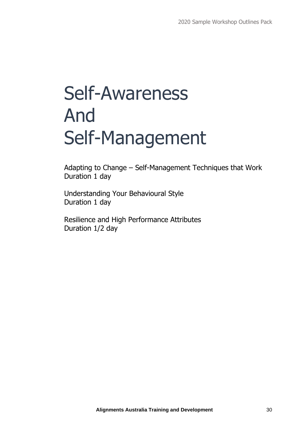# Self-Awareness And Self-Management

Adapting to Change – Self-Management Techniques that Work Duration 1 day

Understanding Your Behavioural Style Duration 1 day

Resilience and High Performance Attributes Duration 1/2 day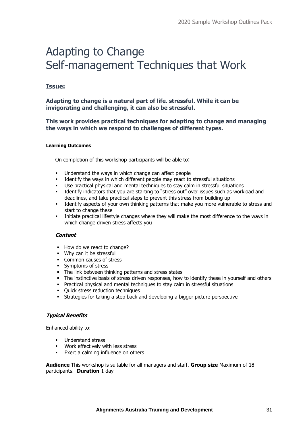### Adapting to Change Self-management Techniques that Work

#### **Issue:**

#### **Adapting to change is a natural part of life. stressful. While it can be invigorating and challenging, it can also be stressful.**

#### **This work provides practical techniques for adapting to change and managing the ways in which we respond to challenges of different types.**

#### **Learning Outcomes**

On completion of this workshop participants will be able to:

- Understand the ways in which change can affect people
- Identify the ways in which different people may react to stressful situations
- Use practical physical and mental techniques to stay calm in stressful situations
- Identify indicators that you are starting to "stress out" over issues such as workload and deadlines, and take practical steps to prevent this stress from building up
- Identify aspects of your own thinking patterns that make you more vulnerable to stress and start to change these
- Initiate practical lifestyle changes where they will make the most difference to the ways in which change driven stress affects you

#### **Content**

- How do we react to change?
- Why can it be stressful
- Common causes of stress
- Symptoms of stress
- **•** The link between thinking patterns and stress states
- **·** The instinctive basis of stress driven responses, how to identify these in yourself and others
- Practical physical and mental techniques to stay calm in stressful situations
- Quick stress reduction techniques
- **EXECT:** Strategies for taking a step back and developing a bigger picture perspective

#### **Typical Benefits**

Enhanced ability to:

- **■** Understand stress
- Work effectively with less stress
- Exert a calming influence on others

**Audience** This workshop is suitable for all managers and staff. **Group size** Maximum of 18 participants. **Duration** 1 day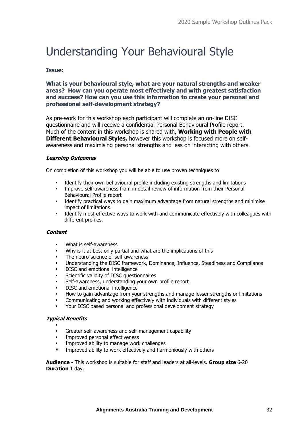### Understanding Your Behavioural Style

#### **Issue:**

#### **What is your behavioural style, what are your natural strengths and weaker areas? How can you operate most effectively and with greatest satisfaction and success? How can you use this information to create your personal and professional self-development strategy?**

As pre-work for this workshop each participant will complete an on-line DISC questionnaire and will receive a confidential Personal Behavioural Profile report. Much of the content in this workshop is shared with, **Working with People with Different Behavioural Styles,** however this workshop is focused more on selfawareness and maximising personal strengths and less on interacting with others.

#### **Learning Outcomes**

On completion of this workshop you will be able to use proven techniques to:

- Identify their own behavioural profile including existing strengths and limitations
- Improve self-awareness from in detail review of information from their Personal Behavioural Profile report
- Identify practical ways to gain maximum advantage from natural strengths and minimise impact of limitations.
- **•** Identify most effective ways to work with and communicate effectively with colleagues with different profiles.

#### **Content**

- What is self-awareness
- Why is it at best only partial and what are the implications of this
- **•** The neuro-science of self-awareness
- Understanding the DISC framework, Dominance, Influence, Steadiness and Compliance
- DISC and emotional intelligence
- Scientific validity of DISC questionnaires
- Self-awareness, understanding your own profile report
- DISC and emotional intelligence
- How to gain advantage from your strengths and manage lesser strengths or limitations
- Communicating and working effectively with individuals with different styles
- Your DISC based personal and professional development strategy

#### **Typical Benefits**

- ▪
- Greater self-awareness and self-management capability
- **■** Improved personal effectiveness
- Improved ability to manage work challenges
- Improved ability to work effectively and harmoniously with others

**Audience -** This workshop is suitable for staff and leaders at all-levels. **Group size** 6-20 **Duration** 1 day.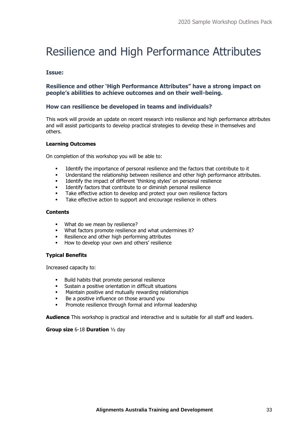### Resilience and High Performance Attributes

#### **Issue:**

#### **Resilience and other 'High Performance Attributes" have a strong impact on people's abilities to achieve outcomes and on their well-being.**

#### **How can resilience be developed in teams and individuals?**

This work will provide an update on recent research into resilience and high performance attributes and will assist participants to develop practical strategies to develop these in themselves and others.

#### **Learning Outcomes**

On completion of this workshop you will be able to:

- Identify the importance of personal resilience and the factors that contribute to it
- Understand the relationship between resilience and other high performance attributes.
- Identify the impact of different 'thinking styles' on personal resilience
- Identify factors that contribute to or diminish personal resilience
- Take effective action to develop and protect your own resilience factors
- Take effective action to support and encourage resilience in others

#### **Contents**

- What do we mean by resilience?
- What factors promote resilience and what undermines it?
- Resilience and other high performing attributes
- How to develop your own and others' resilience

#### **Typical Benefits**

Increased capacity to:

- Build habits that promote personal resilience
- Sustain a positive orientation in difficult situations
- Maintain positive and mutually rewarding relationships
- Be a positive influence on those around you
- Promote resilience through formal and informal leadership

**Audience** This workshop is practical and interactive and is suitable for all staff and leaders.

#### **Group size** 6-18 **Duration** ½ day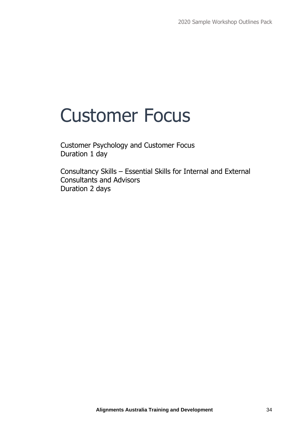## Customer Focus

Customer Psychology and Customer Focus Duration 1 day

Consultancy Skills – Essential Skills for Internal and External Consultants and Advisors Duration 2 days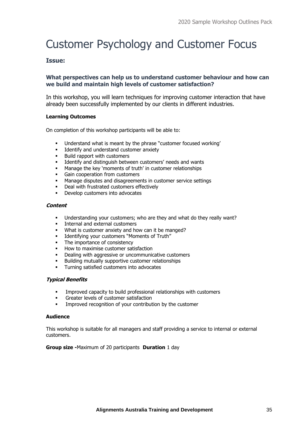## Customer Psychology and Customer Focus

#### **Issue:**

#### **What perspectives can help us to understand customer behaviour and how can we build and maintain high levels of customer satisfaction?**

In this workshop, you will learn techniques for improving customer interaction that have already been successfully implemented by our clients in different industries.

#### **Learning Outcomes**

On completion of this workshop participants will be able to:

- Understand what is meant by the phrase "customer focused working"
- Identify and understand customer anxiety
- Build rapport with customers
- **■** Identify and distinguish between customers' needs and wants
- Manage the key 'moments of truth' in customer relationships
- Gain cooperation from customers
- Manage disputes and disagreements in customer service settings
- Deal with frustrated customers effectively
- Develop customers into advocates

#### **Content**

- Understanding your customers; who are they and what do they really want?
- **•** Internal and external customers
- What is customer anxiety and how can it be manged?
- Identifying your customers "Moments of Truth"
- The importance of consistency
- How to maximise customer satisfaction
- Dealing with aggressive or uncommunicative customers
- Building mutually supportive customer relationships
- Turning satisfied customers into advocates

#### **Typical Benefits**

- Improved capacity to build professional relationships with customers
- Greater levels of customer satisfaction
- Improved recognition of your contribution by the customer

#### **Audience**

This workshop is suitable for all managers and staff providing a service to internal or external customers.

#### **Group size -**Maximum of 20 participants **Duration** 1 day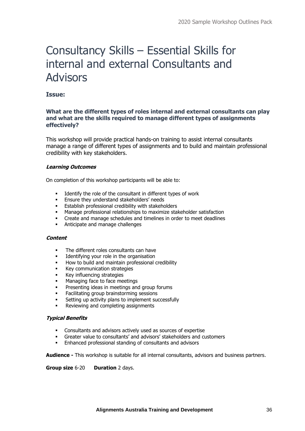### Consultancy Skills – Essential Skills for internal and external Consultants and Advisors

#### **Issue:**

#### **What are the different types of roles internal and external consultants can play and what are the skills required to manage different types of assignments effectively?**

This workshop will provide practical hands-on training to assist internal consultants manage a range of different types of assignments and to build and maintain professional credibility with key stakeholders.

#### **Learning Outcomes**

On completion of this workshop participants will be able to:

- Identify the role of the consultant in different types of work
- **Ensure they understand stakeholders' needs**
- Establish professional credibility with stakeholders<br>■ Manage professional relationships to maximize sta
- Manage professional relationships to maximize stakeholder satisfaction
- Create and manage schedules and timelines in order to meet deadlines
- Anticipate and manage challenges

#### **Content**

- The different roles consultants can have
- Identifying your role in the organisation
- How to build and maintain professional credibility
- Key communication strategies
- Key influencing strategies
- Managing face to face meetings
- Presenting ideas in meetings and group forums
- Facilitating group brainstorming sessions
- Setting up activity plans to implement successfully
- Reviewing and completing assignments

#### **Typical Benefits**

- Consultants and advisors actively used as sources of expertise
- Greater value to consultants' and advisors' stakeholders and customers
- Enhanced professional standing of consultants and advisors

**Audience -** This workshop is suitable for all internal consultants, advisors and business partners.

#### **Group size** 6-20 **Duration** 2 days.